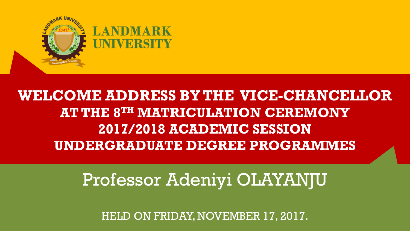

### **WELCOME ADDRESS BY THE VICE-CHANCELLOR AT THE 8TH MATRICULATION CEREMONY 2017/2018 ACADEMIC SESSION UNDERGRADUATE DEGREE PROGRAMMES**

## Professor Adeniyi OLAYANJU

HELD ON FRIDAY, NOVEMBER 17, 2017.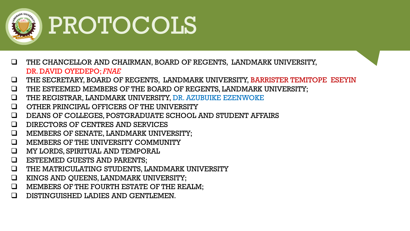

# PROTOCOLS

- THE CHANCELLOR AND CHAIRMAN, BOARD OF REGENTS, LANDMARK UNIVERSITY, DR. DAVID OYEDEPO; *FNAE*
- THE SECRETARY, BOARD OF REGENTS, LANDMARK UNIVERSITY, BARRISTER TEMITOPE ESEYIN
- THE ESTEEMED MEMBERS OF THE BOARD OF REGENTS, LANDMARK UNIVERSITY;
- THE REGISTRAR, LANDMARK UNIVERSITY, DR. AZUBUIKE EZENWOKE
- OTHER PRINCIPAL OFFICERS OF THE UNIVERSITY
- DEANS OF COLLEGES, POSTGRADUATE SCHOOL AND STUDENT AFFAIRS
- DIRECTORS OF CENTRES AND SERVICES
- MEMBERS OF SENATE, LANDMARK UNIVERSITY;
- **Q MEMBERS OF THE UNIVERSITY COMMUNITY**
- MY LORDS, SPIRITUAL AND TEMPORAL
- ESTEEMED GUESTS AND PARENTS;
- THE MATRICULATING STUDENTS, LANDMARK UNIVERSITY
- **Q** KINGS AND QUEENS, LANDMARK UNIVERSITY;
- MEMBERS OF THE FOURTH ESTATE OF THE REALM;
- **Q** DISTINGUISHED LADIES AND GENTLEMEN.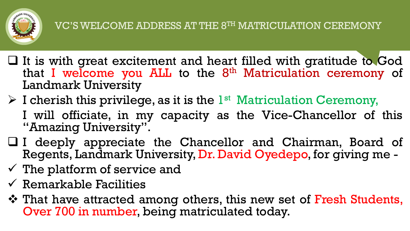

- $\Box$  It is with great excitement and heart filled with gratitude to God that I welcome you ALL to the 8<sup>th</sup> Matriculation ceremony of Landmark University
- $\triangleright$  I cherish this privilege, as it is the  $1<sup>st</sup>$  Matriculation Ceremony, I will officiate, in my capacity as the Vice-Chancellor of this "Amazing University".
- I deeply appreciate the Chancellor and Chairman, Board of Regents, Landmark University, Dr. David Oyedepo, for giving me -
- $\checkmark$  The platform of service and
- $\checkmark$  Remarkable Facilities
- That have attracted among others, this new set of Fresh Students, Over 700 in number, being matriculated today.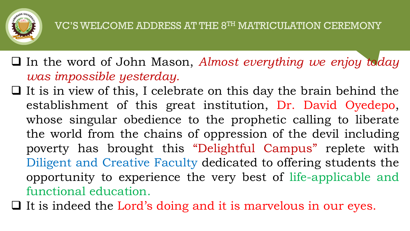

 In the word of John Mason, *Almost everything we enjoy today was impossible yesterday.*

 $\Box$  It is in view of this, I celebrate on this day the brain behind the establishment of this great institution, Dr. David Oyedepo, whose singular obedience to the prophetic calling to liberate the world from the chains of oppression of the devil including poverty has brought this "Delightful Campus" replete with Diligent and Creative Faculty dedicated to offering students the opportunity to experience the very best of life-applicable and functional education.

 $\Box$  It is indeed the Lord's doing and it is marvelous in our eyes.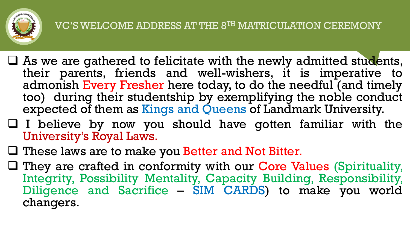

- $\Box$  As we are gathered to felicitate with the newly admitted students, their parents, friends and well-wishers, it is imperative to admonish Every Fresher here today, to do the needful (and timely too) during their studentship by exemplifying the noble conduct expected of them as Kings and Queens of Landmark University.
- $\Box$  I believe by now you should have gotten familiar with the University's Royal Laws.
- $\Box$  These laws are to make you Better and Not Bitter.
- $\Box$  They are crafted in conformity with our Core Values (Spirituality, Integrity, Possibility Mentality, Capacity Building, Responsibility, Diligence and Sacrifice – SIM CARDS) to make you world changers.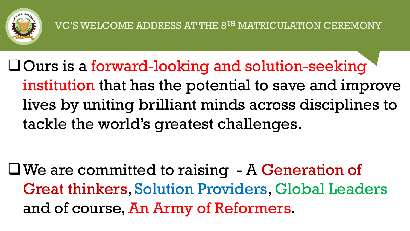

Ours is a forward-looking and solution-seeking institution that has the potential to save and improve lives by uniting brilliant minds across disciplines to tackle the world's greatest challenges.

We are committed to raising - A Generation of Great thinkers, Solution Providers, Global Leaders and of course, An Army of Reformers.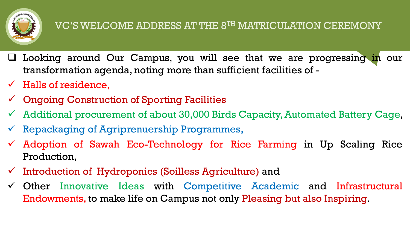

#### VC'S WELCOME ADDRESS AT THE 8TH MATRICULATION CEREMONY

- $\Box$  Looking around Our Campus, you will see that we are progressing in our transformation agenda, noting more than sufficient facilities of -
- $\checkmark$  Halls of residence,
- $\checkmark$  Ongoing Construction of Sporting Facilities
- $\checkmark$  Additional procurement of about 30,000 Birds Capacity, Automated Battery Cage,
- $\checkmark$  Repackaging of Agriprenuership Programmes,
- $\checkmark$  Adoption of Sawah Eco-Technology for Rice Farming in Up Scaling Rice Production,
- $\checkmark$  Introduction of Hydroponics (Soilless Agriculture) and
- $\checkmark$  Other Innovative Ideas with Competitive Academic and Infrastructural Endowments, to make life on Campus not only Pleasing but also Inspiring.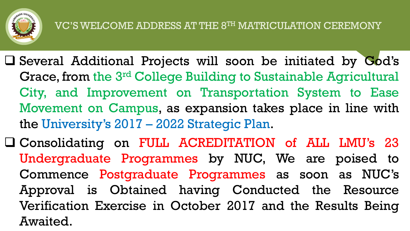

- $\square$  Several Additional Projects will soon be initiated by  $\mathbf{God's}$ Grace, from the 3<sup>rd</sup> College Building to Sustainable Agricultural City, and Improvement on Transportation System to Ease Movement on Campus, as expansion takes place in line with the University's 2017 – 2022 Strategic Plan.
- Consolidating on FULL ACREDITATION of ALL LMU's 23 Undergraduate Programmes by NUC, We are poised to Commence Postgraduate Programmes as soon as NUC's Approval is Obtained having Conducted the Resource Verification Exercise in October 2017 and the Results Being Awaited.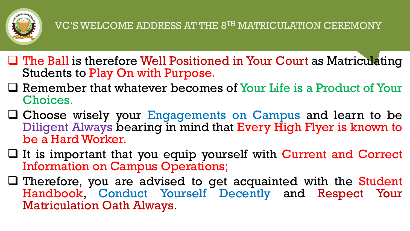

- $\Box$  The Ball is therefore Well Positioned in Your Court as Matriculating Students to Play On with Purpose.
- Remember that whatever becomes of Your Life is a Product of Your Choices.
- Choose wisely your Engagements on Campus and learn to be Diligent Always bearing in mind that Every High Flyer is known to be a Hard Worker.
- $\Box$  It is important that you equip yourself with Current and Correct Information on Campus Operations;
- $\Box$  Therefore, you are advised to get acquainted with the Student Handbook, Conduct Yourself Decently and Respect Your Matriculation Oath Always.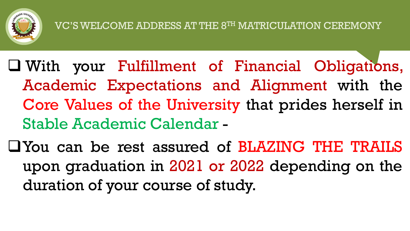

- With your Fulfillment of Financial Obligations, Academic Expectations and Alignment with the Core Values of the University that prides herself in Stable Academic Calendar -
- You can be rest assured of BLAZING THE TRAILS upon graduation in 2021 or 2022 depending on the duration of your course of study.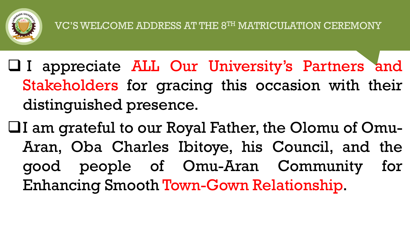

- I appreciate ALL Our University's Partners and Stakeholders for gracing this occasion with their distinguished presence.
- $\Box$ I am grateful to our Royal Father, the Olomu of Omu-Aran, Oba Charles Ibitoye, his Council, and the good people of Omu-Aran Community for Enhancing Smooth Town-Gown Relationship.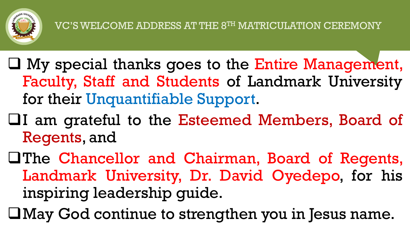

- $\square$  My special thanks goes to the Entire Management, Faculty, Staff and Students of Landmark University for their Unquantifiable Support.
- I am grateful to the Esteemed Members, Board of Regents, and
- **The Chancellor and Chairman, Board of Regents,** Landmark University, Dr. David Oyedepo, for his inspiring leadership guide.
- May God continue to strengthen you in Jesus name.